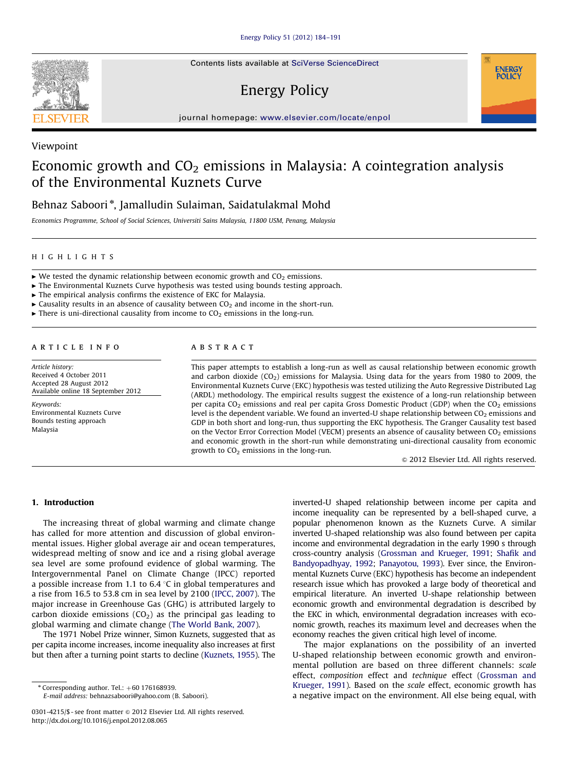Contents lists available at [SciVerse ScienceDirect](www.elsevier.com/locate/enpol)

## Energy Policy



#### Viewpoint

### Economic growth and  $CO<sub>2</sub>$  emissions in Malaysia: A cointegration analysis of the Environmental Kuznets Curve

### Behnaz Saboori $^*$ , Jamalludin Sulaiman, Saidatulakmal Mohd

Economics Programme, School of Social Sciences, Universiti Sains Malaysia, 11800 USM, Penang, Malaysia

#### HIGHLIGHTS

- $\triangleright$  We tested the dynamic relationship between economic growth and CO<sub>2</sub> emissions.
- $\triangleright$  The Environmental Kuznets Curve hypothesis was tested using bounds testing approach.
- $\blacktriangleright$  The empirical analysis confirms the existence of EKC for Malaysia.
- $\triangleright$  Causality results in an absence of causality between CO<sub>2</sub> and income in the short-run.
- $\triangleright$  There is uni-directional causality from income to CO<sub>2</sub> emissions in the long-run.

#### article info

Article history: Received 4 October 2011 Accepted 28 August 2012 Available online 18 September 2012

Keywords: Environmental Kuznets Curve Bounds testing approach Malaysia

#### **ABSTRACT**

This paper attempts to establish a long-run as well as causal relationship between economic growth and carbon dioxide  $(CO_2)$  emissions for Malaysia. Using data for the years from 1980 to 2009, the Environmental Kuznets Curve (EKC) hypothesis was tested utilizing the Auto Regressive Distributed Lag (ARDL) methodology. The empirical results suggest the existence of a long-run relationship between per capita  $CO_2$  emissions and real per capita Gross Domestic Product (GDP) when the  $CO_2$  emissions level is the dependent variable. We found an inverted-U shape relationship between  $CO<sub>2</sub>$  emissions and GDP in both short and long-run, thus supporting the EKC hypothesis. The Granger Causality test based on the Vector Error Correction Model (VECM) presents an absence of causality between  $CO<sub>2</sub>$  emissions and economic growth in the short-run while demonstrating uni-directional causality from economic growth to  $CO<sub>2</sub>$  emissions in the long-run.

 $\odot$  2012 Elsevier Ltd. All rights reserved.

**ENERGY POLICY** 

#### 1. Introduction

The increasing threat of global warming and climate change has called for more attention and discussion of global environmental issues. Higher global average air and ocean temperatures, widespread melting of snow and ice and a rising global average sea level are some profound evidence of global warming. The Intergovernmental Panel on Climate Change (IPCC) reported a possible increase from 1.1 to 6.4  $\degree$ C in global temperatures and a rise from 16.5 to 53.8 cm in sea level by 2100 [\(IPCC, 2007](#page--1-0)). The major increase in Greenhouse Gas (GHG) is attributed largely to carbon dioxide emissions  $(CO<sub>2</sub>)$  as the principal gas leading to global warming and climate change [\(The World Bank, 2007](#page--1-0)).

The 1971 Nobel Prize winner, Simon Kuznets, suggested that as per capita income increases, income inequality also increases at first but then after a turning point starts to decline [\(Kuznets, 1955\)](#page--1-0). The

E-mail address: [behnazsaboori@yahoo.com \(B. Saboori\)](mailto:behnazsaboori@yahoo.com).

inverted-U shaped relationship between income per capita and income inequality can be represented by a bell-shaped curve, a popular phenomenon known as the Kuznets Curve. A similar inverted U-shaped relationship was also found between per capita income and environmental degradation in the early 1990 s through cross-country analysis ([Grossman and Krueger, 1991](#page--1-0); [Shafik and](#page--1-0) [Bandyopadhyay, 1992;](#page--1-0) [Panayotou, 1993\)](#page--1-0). Ever since, the Environmental Kuznets Curve (EKC) hypothesis has become an independent research issue which has provoked a large body of theoretical and empirical literature. An inverted U-shape relationship between economic growth and environmental degradation is described by the EKC in which, environmental degradation increases with economic growth, reaches its maximum level and decreases when the economy reaches the given critical high level of income.

The major explanations on the possibility of an inverted U-shaped relationship between economic growth and environmental pollution are based on three different channels: scale effect, composition effect and technique effect [\(Grossman and](#page--1-0) [Krueger, 1991\)](#page--1-0). Based on the scale effect, economic growth has a negative impact on the environment. All else being equal, with



 $*$  Corresponding author. Tel.:  $+60$  176168939.

<sup>0301-4215/\$ -</sup> see front matter @ 2012 Elsevier Ltd. All rights reserved. [http://dx.doi.org/10.1016/j.enpol.2012.08.065](dx.doi.org/10.1016/j.enpol.2012.08.065)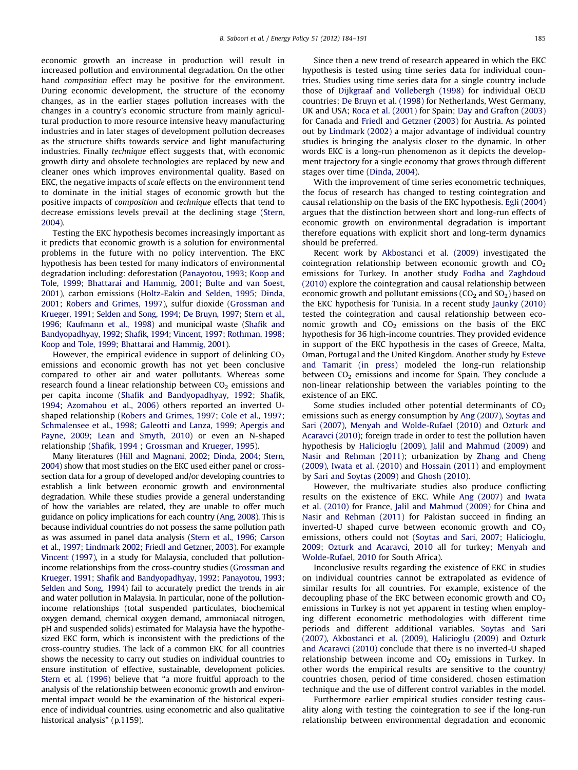economic growth an increase in production will result in increased pollution and environmental degradation. On the other hand composition effect may be positive for the environment. During economic development, the structure of the economy changes, as in the earlier stages pollution increases with the changes in a country's economic structure from mainly agricultural production to more resource intensive heavy manufacturing industries and in later stages of development pollution decreases as the structure shifts towards service and light manufacturing industries. Finally *technique* effect suggests that, with economic growth dirty and obsolete technologies are replaced by new and cleaner ones which improves environmental quality. Based on EKC, the negative impacts of scale effects on the environment tend to dominate in the initial stages of economic growth but the positive impacts of composition and technique effects that tend to decrease emissions levels prevail at the declining stage ([Stern,](#page--1-0) [2004\)](#page--1-0).

Testing the EKC hypothesis becomes increasingly important as it predicts that economic growth is a solution for environmental problems in the future with no policy intervention. The EKC hypothesis has been tested for many indicators of environmental degradation including: deforestation [\(Panayotou, 1993](#page--1-0); [Koop and](#page--1-0) [Tole, 1999;](#page--1-0) [Bhattarai and Hammig, 2001](#page--1-0); [Bulte and van Soest,](#page--1-0) [2001\)](#page--1-0), carbon emissions [\(Holtz-Eakin and Selden, 1995](#page--1-0); [Dinda,](#page--1-0) [2001;](#page--1-0) [Robers and Grimes, 1997\)](#page--1-0), sulfur dioxide [\(Grossman and](#page--1-0) [Krueger, 1991;](#page--1-0) [Selden and Song, 1994;](#page--1-0) [De Bruyn, 1997;](#page--1-0) [Stern et al.,](#page--1-0) [1996](#page--1-0); [Kaufmann et al., 1998](#page--1-0)) and municipal waste ([Shafik and](#page--1-0) [Bandyopadhyay, 1992;](#page--1-0) [Shafik, 1994;](#page--1-0) [Vincent, 1997;](#page--1-0) [Rothman, 1998;](#page--1-0) [Koop and Tole, 1999](#page--1-0); [Bhattarai and Hammig, 2001\)](#page--1-0).

However, the empirical evidence in support of delinking  $CO<sub>2</sub>$ emissions and economic growth has not yet been conclusive compared to other air and water pollutants. Whereas some research found a linear relationship between  $CO<sub>2</sub>$  emissions and per capita income ([Shafik and Bandyopadhyay, 1992](#page--1-0); [Shafik,](#page--1-0) [1994;](#page--1-0) [Azomahou et al., 2006\)](#page--1-0) others reported an inverted Ushaped relationship [\(Robers and Grimes, 1997](#page--1-0); [Cole et al., 1997;](#page--1-0) [Schmalensee et al., 1998;](#page--1-0) [Galeotti and Lanza, 1999;](#page--1-0) [Apergis and](#page--1-0) [Payne, 2009](#page--1-0); [Lean and Smyth, 2010\)](#page--1-0) or even an N-shaped relationship [\(Shafik, 1994](#page--1-0) ; [Grossman and Krueger, 1995](#page--1-0)).

Many literatures ([Hill and Magnani, 2002;](#page--1-0) [Dinda, 2004;](#page--1-0) [Stern,](#page--1-0) [2004\)](#page--1-0) show that most studies on the EKC used either panel or crosssection data for a group of developed and/or developing countries to establish a link between economic growth and environmental degradation. While these studies provide a general understanding of how the variables are related, they are unable to offer much guidance on policy implications for each country [\(Ang, 2008](#page--1-0)). This is because individual countries do not possess the same pollution path as was assumed in panel data analysis ([Stern et al., 1996](#page--1-0); [Carson](#page--1-0) [et al., 1997](#page--1-0); [Lindmark 2002](#page--1-0); [Friedl and Getzner, 2003\)](#page--1-0). For example [Vincent \(1997\),](#page--1-0) in a study for Malaysia, concluded that pollutionincome relationships from the cross-country studies [\(Grossman and](#page--1-0) [Krueger, 1991;](#page--1-0) [Shafik and Bandyopadhyay, 1992](#page--1-0); [Panayotou, 1993;](#page--1-0) [Selden and Song, 1994\)](#page--1-0) fail to accurately predict the trends in air and water pollution in Malaysia. In particular, none of the pollutionincome relationships (total suspended particulates, biochemical oxygen demand, chemical oxygen demand, ammoniacal nitrogen, pH and suspended solids) estimated for Malaysia have the hypothesized EKC form, which is inconsistent with the predictions of the cross-country studies. The lack of a common EKC for all countries shows the necessity to carry out studies on individual countries to ensure institution of effective, sustainable, development policies. [Stern et al. \(1996\)](#page--1-0) believe that ''a more fruitful approach to the analysis of the relationship between economic growth and environmental impact would be the examination of the historical experience of individual countries, using econometric and also qualitative historical analysis" (p.1159).

Since then a new trend of research appeared in which the EKC hypothesis is tested using time series data for individual countries. Studies using time series data for a single country include those of [Dijkgraaf and Vollebergh \(1998\)](#page--1-0) for individual OECD countries; [De Bruyn et al. \(1998\)](#page--1-0) for Netherlands, West Germany, UK and USA; [Roca et al. \(2001\)](#page--1-0) for Spain; [Day and Grafton \(2003\)](#page--1-0) for Canada and [Friedl and Getzner \(2003\)](#page--1-0) for Austria. As pointed out by [Lindmark \(2002\)](#page--1-0) a major advantage of individual country studies is bringing the analysis closer to the dynamic. In other words EKC is a long-run phenomenon as it depicts the development trajectory for a single economy that grows through different stages over time [\(Dinda, 2004\)](#page--1-0).

With the improvement of time series econometric techniques. the focus of research has changed to testing cointegration and causal relationship on the basis of the EKC hypothesis. [Egli \(2004\)](#page--1-0) argues that the distinction between short and long-run effects of economic growth on environmental degradation is important therefore equations with explicit short and long-term dynamics should be preferred.

Recent work by [Akbostanci et al. \(2009\)](#page--1-0) investigated the cointegration relationship between economic growth and  $CO<sub>2</sub>$ emissions for Turkey. In another study [Fodha and Zaghdoud](#page--1-0) [\(2010\)](#page--1-0) explore the cointegration and causal relationship between economic growth and pollutant emissions ( $CO<sub>2</sub>$  and  $SO<sub>2</sub>$ ) based on the EKC hypothesis for Tunisia. In a recent study [Jaunky \(2010\)](#page--1-0) tested the cointegration and causal relationship between economic growth and  $CO<sub>2</sub>$  emissions on the basis of the EKC hypothesis for 36 high-income countries. They provided evidence in support of the EKC hypothesis in the cases of Greece, Malta, Oman, Portugal and the United Kingdom. Another study by [Esteve](#page--1-0) [and Tamarit \(in press\)](#page--1-0) modeled the long-run relationship between  $CO<sub>2</sub>$  emissions and income for Spain. They conclude a non-linear relationship between the variables pointing to the existence of an EKC.

Some studies included other potential determinants of  $CO<sub>2</sub>$ emissions such as energy consumption by [Ang \(2007\)](#page--1-0), [Soytas and](#page--1-0) [Sari \(2007\)](#page--1-0), [Menyah and Wolde-Rufael \(2010\)](#page--1-0) and [Ozturk and](#page--1-0) [Acaravci \(2010\)](#page--1-0); foreign trade in order to test the pollution haven hypothesis by [Halicioglu \(2009\)](#page--1-0), [Jalil and Mahmud \(2009\)](#page--1-0) and [Nasir and Rehman \(2011\);](#page--1-0) urbanization by [Zhang and Cheng](#page--1-0) [\(2009\),](#page--1-0) [Iwata et al. \(2010\)](#page--1-0) and [Hossain \(2011\)](#page--1-0) and employment by [Sari and Soytas \(2009\)](#page--1-0) and [Ghosh \(2010\).](#page--1-0)

However, the multivariate studies also produce conflicting results on the existence of EKC. While [Ang \(2007\)](#page--1-0) and [Iwata](#page--1-0) [et al. \(2010\)](#page--1-0) for France, [Jalil and Mahmud \(2009\)](#page--1-0) for China and [Nasir and Rehman \(2011\)](#page--1-0) for Pakistan succeed in finding an inverted-U shaped curve between economic growth and  $CO<sub>2</sub>$ emissions, others could not [\(Soytas and Sari, 2007](#page--1-0); [Halicioglu,](#page--1-0) [2009;](#page--1-0) [Ozturk and Acaravci, 2010](#page--1-0) all for turkey; [Menyah and](#page--1-0) [Wolde-Rufael, 2010](#page--1-0) for South Africa).

Inconclusive results regarding the existence of EKC in studies on individual countries cannot be extrapolated as evidence of similar results for all countries. For example, existence of the decoupling phase of the EKC between economic growth and  $CO<sub>2</sub>$ emissions in Turkey is not yet apparent in testing when employing different econometric methodologies with different time periods and different additional variables. [Soytas and Sari](#page--1-0) [\(2007\),](#page--1-0) [Akbostanci et al. \(2009\)](#page--1-0), [Halicioglu \(2009\)](#page--1-0) and [Ozturk](#page--1-0) [and Acaravci \(2010\)](#page--1-0) conclude that there is no inverted-U shaped relationship between income and  $CO<sub>2</sub>$  emissions in Turkey. In other words the empirical results are sensitive to the country/ countries chosen, period of time considered, chosen estimation technique and the use of different control variables in the model.

Furthermore earlier empirical studies consider testing causality along with testing the cointegration to see if the long-run relationship between environmental degradation and economic